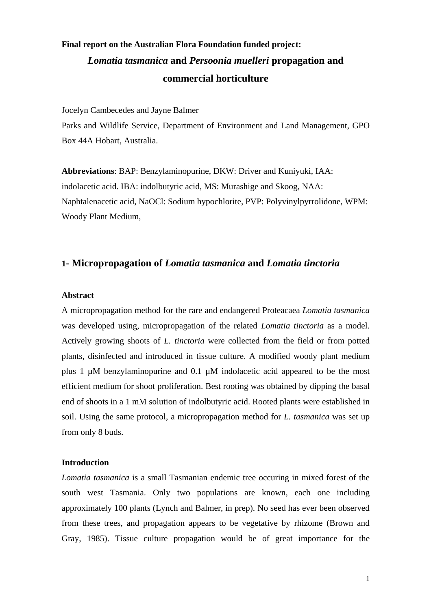# **Final report on the Australian Flora Foundation funded project:**  *Lomatia tasmanica* **and** *Persoonia muelleri* **propagation and commercial horticulture**

Jocelyn Cambecedes and Jayne Balmer

Parks and Wildlife Service, Department of Environment and Land Management, GPO Box 44A Hobart, Australia.

**Abbreviations**: BAP: Benzylaminopurine, DKW: Driver and Kuniyuki, IAA: indolacetic acid. IBA: indolbutyric acid, MS: Murashige and Skoog, NAA: Naphtalenacetic acid, NaOCl: Sodium hypochlorite, PVP: Polyvinylpyrrolidone, WPM: Woody Plant Medium,

# **1- Micropropagation of** *Lomatia tasmanica* **and** *Lomatia tinctoria*

#### **Abstract**

A micropropagation method for the rare and endangered Proteacaea *Lomatia tasmanica* was developed using, micropropagation of the related *Lomatia tinctoria* as a model. Actively growing shoots of *L. tinctoria* were collected from the field or from potted plants, disinfected and introduced in tissue culture. A modified woody plant medium plus 1 µM benzylaminopurine and 0.1 µM indolacetic acid appeared to be the most efficient medium for shoot proliferation. Best rooting was obtained by dipping the basal end of shoots in a 1 mM solution of indolbutyric acid. Rooted plants were established in soil. Using the same protocol, a micropropagation method for *L. tasmanica* was set up from only 8 buds.

# **Introduction**

*Lomatia tasmanica* is a small Tasmanian endemic tree occuring in mixed forest of the south west Tasmania. Only two populations are known, each one including approximately 100 plants (Lynch and Balmer, in prep). No seed has ever been observed from these trees, and propagation appears to be vegetative by rhizome (Brown and Gray, 1985). Tissue culture propagation would be of great importance for the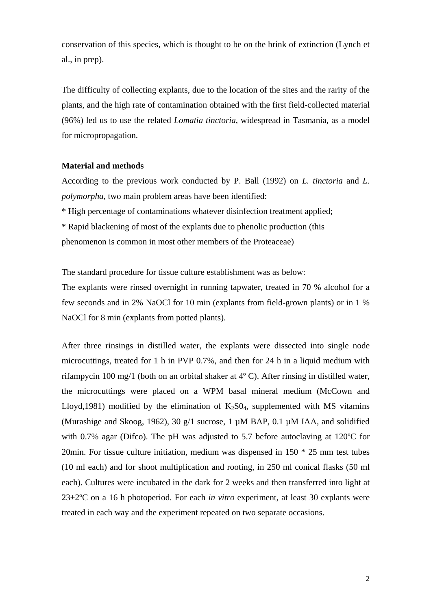conservation of this species, which is thought to be on the brink of extinction (Lynch et al., in prep).

The difficulty of collecting explants, due to the location of the sites and the rarity of the plants, and the high rate of contamination obtained with the first field-collected material (96%) led us to use the related *Lomatia tinctoria*, widespread in Tasmania, as a model for micropropagation.

# **Material and methods**

According to the previous work conducted by P. Ball (1992) on *L. tinctoria* and *L. polymorpha*, two main problem areas have been identified:

\* High percentage of contaminations whatever disinfection treatment applied;

\* Rapid blackening of most of the explants due to phenolic production (this

phenomenon is common in most other members of the Proteaceae)

The standard procedure for tissue culture establishment was as below:

The explants were rinsed overnight in running tapwater, treated in 70 % alcohol for a few seconds and in 2% NaOCl for 10 min (explants from field-grown plants) or in 1 % NaOCl for 8 min (explants from potted plants).

After three rinsings in distilled water, the explants were dissected into single node microcuttings, treated for 1 h in PVP 0.7%, and then for 24 h in a liquid medium with rifampycin 100 mg/1 (both on an orbital shaker at 4º C). After rinsing in distilled water, the microcuttings were placed on a WPM basal mineral medium (McCown and Lloyd,1981) modified by the elimination of  $K_2S0_4$ , supplemented with MS vitamins (Murashige and Skoog, 1962), 30  $g/1$  sucrose, 1  $\mu$ M BAP, 0.1  $\mu$ M IAA, and solidified with 0.7% agar (Difco). The pH was adjusted to 5.7 before autoclaving at 120ºC for 20min. For tissue culture initiation, medium was dispensed in 150 \* 25 mm test tubes (10 ml each) and for shoot multiplication and rooting, in 250 ml conical flasks (50 ml each). Cultures were incubated in the dark for 2 weeks and then transferred into light at 23±2ºC on a 16 h photoperiod. For each *in vitro* experiment, at least 30 explants were treated in each way and the experiment repeated on two separate occasions.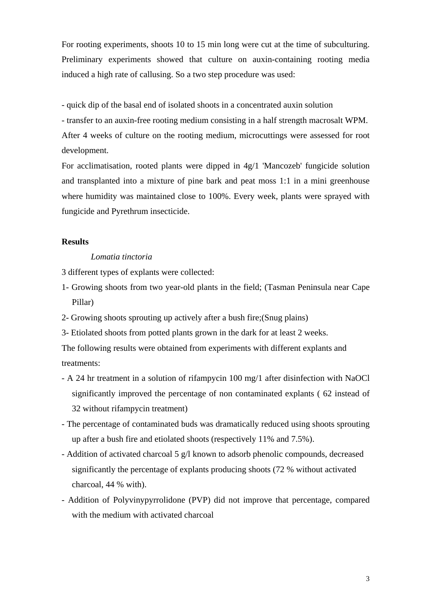For rooting experiments, shoots 10 to 15 min long were cut at the time of subculturing. Preliminary experiments showed that culture on auxin-containing rooting media induced a high rate of callusing. So a two step procedure was used:

- quick dip of the basal end of isolated shoots in a concentrated auxin solution

- transfer to an auxin-free rooting medium consisting in a half strength macrosalt WPM.

After 4 weeks of culture on the rooting medium, microcuttings were assessed for root development.

For acclimatisation, rooted plants were dipped in 4g/1 'Mancozeb' fungicide solution and transplanted into a mixture of pine bark and peat moss 1:1 in a mini greenhouse where humidity was maintained close to 100%. Every week, plants were sprayed with fungicide and Pyrethrum insecticide.

# **Results**

# *Lomatia tinctoria*

3 different types of explants were collected:

- 1- Growing shoots from two year-old plants in the field; (Tasman Peninsula near Cape Pillar)
- 2- Growing shoots sprouting up actively after a bush fire;(Snug plains)
- 3- Etiolated shoots from potted plants grown in the dark for at least 2 weeks.

The following results were obtained from experiments with different explants and treatments:

- A 24 hr treatment in a solution of rifampycin 100 mg/1 after disinfection with NaOCl significantly improved the percentage of non contaminated explants ( 62 instead of 32 without rifampycin treatment)
- The percentage of contaminated buds was dramatically reduced using shoots sprouting up after a bush fire and etiolated shoots (respectively 11% and 7.5%).
- Addition of activated charcoal 5 g/l known to adsorb phenolic compounds, decreased significantly the percentage of explants producing shoots (72 % without activated charcoal, 44 % with).
- Addition of Polyvinypyrrolidone (PVP) did not improve that percentage, compared with the medium with activated charcoal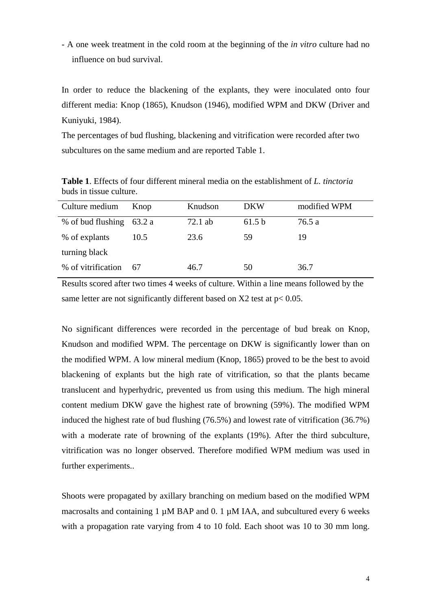- A one week treatment in the cold room at the beginning of the *in vitro* culture had no influence on bud survival.

In order to reduce the blackening of the explants, they were inoculated onto four different media: Knop (1865), Knudson (1946), modified WPM and DKW (Driver and Kuniyuki, 1984).

The percentages of bud flushing, blackening and vitrification were recorded after two subcultures on the same medium and are reported Table 1.

**Table 1**. Effects of four different mineral media on the establishment of *L. tinctoria* buds in tissue culture.

| Culture medium     | Knop   | Knudson   | <b>DKW</b> | modified WPM |
|--------------------|--------|-----------|------------|--------------|
| % of bud flushing  | 63.2 a | $72.1$ ab | 61.5 b     | 76.5 a       |
| % of explants      | 10.5   | 23.6      | 59         | 19           |
| turning black      |        |           |            |              |
| % of vitrification | 67     | 46.7      | 50         | 36.7         |

Results scored after two times 4 weeks of culture. Within a line means followed by the same letter are not significantly different based on  $X2$  test at  $p < 0.05$ .

No significant differences were recorded in the percentage of bud break on Knop, Knudson and modified WPM. The percentage on DKW is significantly lower than on the modified WPM. A low mineral medium (Knop, 1865) proved to be the best to avoid blackening of explants but the high rate of vitrification, so that the plants became translucent and hyperhydric, prevented us from using this medium. The high mineral content medium DKW gave the highest rate of browning (59%). The modified WPM induced the highest rate of bud flushing (76.5%) and lowest rate of vitrification (36.7%) with a moderate rate of browning of the explants (19%). After the third subculture, vitrification was no longer observed. Therefore modified WPM medium was used in further experiments..

Shoots were propagated by axillary branching on medium based on the modified WPM macrosalts and containing 1  $\mu$ M BAP and 0. 1  $\mu$ M IAA, and subcultured every 6 weeks with a propagation rate varying from 4 to 10 fold. Each shoot was 10 to 30 mm long.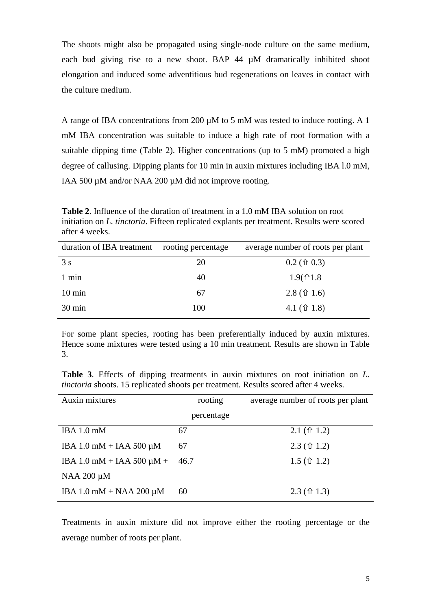The shoots might also be propagated using single-node culture on the same medium, each bud giving rise to a new shoot. BAP 44 µM dramatically inhibited shoot elongation and induced some adventitious bud regenerations on leaves in contact with the culture medium.

A range of IBA concentrations from 200 µM to 5 mM was tested to induce rooting. A 1 mM IBA concentration was suitable to induce a high rate of root formation with a suitable dipping time (Table 2). Higher concentrations (up to 5 mM) promoted a high degree of callusing. Dipping plants for 10 min in auxin mixtures including IBA l.0 mM, IAA 500 µM and/or NAA 200 µM did not improve rooting.

**Table 2**. Influence of the duration of treatment in a 1.0 mM IBA solution on root initiation on *L. tinctoria*. Fifteen replicated explants per treatment. Results were scored after 4 weeks.

| duration of IBA treatment | rooting percentage | average number of roots per plant |
|---------------------------|--------------------|-----------------------------------|
| 3s                        | 20                 | $0.2$ ( $\hat{U}$ 0.3)            |
| 1 min                     | 40                 | $1.9$ ( $\hat{u}$ 1.8             |
| $10 \text{ min}$          | 67                 | $2.8 \, (\hat{T} 1.6)$            |
| $30 \text{ min}$          | 100                | 4.1 $(\hat{\tau}$ 1.8)            |

For some plant species, rooting has been preferentially induced by auxin mixtures. Hence some mixtures were tested using a 10 min treatment. Results are shown in Table 3.

**Table 3**. Effects of dipping treatments in auxin mixtures on root initiation on *L. tinctoria* shoots. 15 replicated shoots per treatment. Results scored after 4 weeks.

| Auxin mixtures                 | rooting    | average number of roots per plant |
|--------------------------------|------------|-----------------------------------|
|                                | percentage |                                   |
| IBA $1.0 \text{ mM}$           | 67         | $2.1 \, (\hat{\tau} 1.2)$         |
| IBA $1.0$ mM + IAA 500 $\mu$ M | 67         | $2.3 \, (\hat{\tau} 1.2)$         |
| IBA 1.0 mM + IAA 500 $\mu$ M + | 46.7       | 1.5 ( $\hat{u}$ 1.2)              |
| NAA $200 \mu M$                |            |                                   |
| IBA 1.0 mM + NAA 200 $\mu$ M   | 60         | $2.3 \, (\hat{\tau} \, 1.3)$      |

Treatments in auxin mixture did not improve either the rooting percentage or the average number of roots per plant.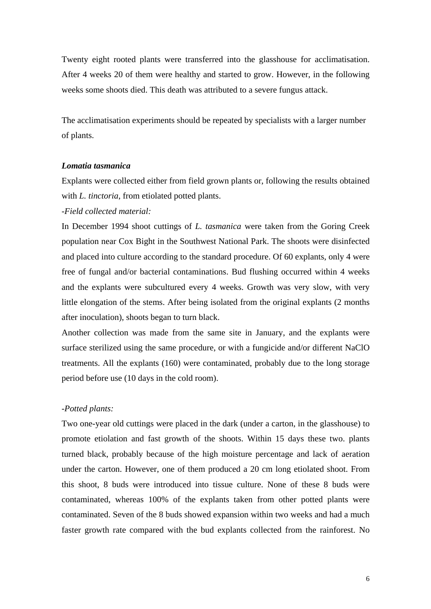Twenty eight rooted plants were transferred into the glasshouse for acclimatisation. After 4 weeks 20 of them were healthy and started to grow. However, in the following weeks some shoots died. This death was attributed to a severe fungus attack.

The acclimatisation experiments should be repeated by specialists with a larger number of plants.

# *Lomatia tasmanica*

Explants were collected either from field grown plants or, following the results obtained with *L. tinctoria*, from etiolated potted plants.

# *-Field collected material:*

In December 1994 shoot cuttings of *L. tasmanica* were taken from the Goring Creek population near Cox Bight in the Southwest National Park. The shoots were disinfected and placed into culture according to the standard procedure. Of 60 explants, only 4 were free of fungal and/or bacterial contaminations. Bud flushing occurred within 4 weeks and the explants were subcultured every 4 weeks. Growth was very slow, with very little elongation of the stems. After being isolated from the original explants (2 months after inoculation), shoots began to turn black.

Another collection was made from the same site in January, and the explants were surface sterilized using the same procedure, or with a fungicide and/or different NaClO treatments. All the explants (160) were contaminated, probably due to the long storage period before use (10 days in the cold room).

#### *-Potted plants:*

Two one-year old cuttings were placed in the dark (under a carton, in the glasshouse) to promote etiolation and fast growth of the shoots. Within 15 days these two. plants turned black, probably because of the high moisture percentage and lack of aeration under the carton. However, one of them produced a 20 cm long etiolated shoot. From this shoot, 8 buds were introduced into tissue culture. None of these 8 buds were contaminated, whereas 100% of the explants taken from other potted plants were contaminated. Seven of the 8 buds showed expansion within two weeks and had a much faster growth rate compared with the bud explants collected from the rainforest. No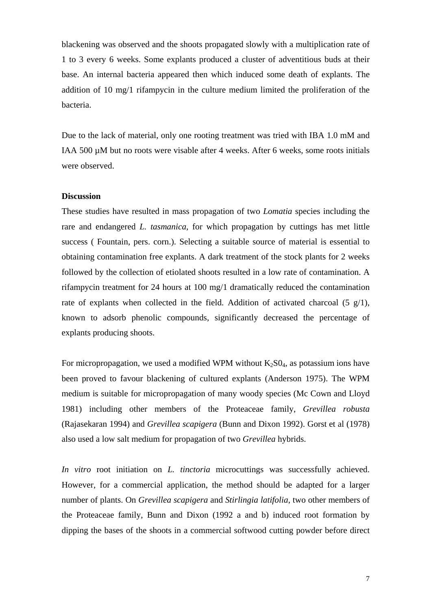blackening was observed and the shoots propagated slowly with a multiplication rate of 1 to 3 every 6 weeks. Some explants produced a cluster of adventitious buds at their base. An internal bacteria appeared then which induced some death of explants. The addition of 10 mg/1 rifampycin in the culture medium limited the proliferation of the bacteria.

Due to the lack of material, only one rooting treatment was tried with IBA 1.0 mM and IAA 500 µM but no roots were visable after 4 weeks. After 6 weeks, some roots initials were observed.

# **Discussion**

These studies have resulted in mass propagation of two *Lomatia* species including the rare and endangered *L. tasmanica,* for which propagation by cuttings has met little success ( Fountain, pers. corn.). Selecting a suitable source of material is essential to obtaining contamination free explants. A dark treatment of the stock plants for 2 weeks followed by the collection of etiolated shoots resulted in a low rate of contamination. A rifampycin treatment for 24 hours at 100 mg/1 dramatically reduced the contamination rate of explants when collected in the field. Addition of activated charcoal  $(5 \text{ g}/1)$ , known to adsorb phenolic compounds, significantly decreased the percentage of explants producing shoots.

For micropropagation, we used a modified WPM without  $K_2SO_4$ , as potassium ions have been proved to favour blackening of cultured explants (Anderson 1975). The WPM medium is suitable for micropropagation of many woody species (Mc Cown and Lloyd 1981) including other members of the Proteaceae family, *Grevillea robusta* (Rajasekaran 1994) and *Grevillea scapigera* (Bunn and Dixon 1992). Gorst et al (1978) also used a low salt medium for propagation of two *Grevillea* hybrids.

*In vitro* root initiation on *L. tinctoria* microcuttings was successfully achieved. However, for a commercial application, the method should be adapted for a larger number of plants. On *Grevillea scapigera* and *Stirlingia latifolia*, two other members of the Proteaceae family, Bunn and Dixon (1992 a and b) induced root formation by dipping the bases of the shoots in a commercial softwood cutting powder before direct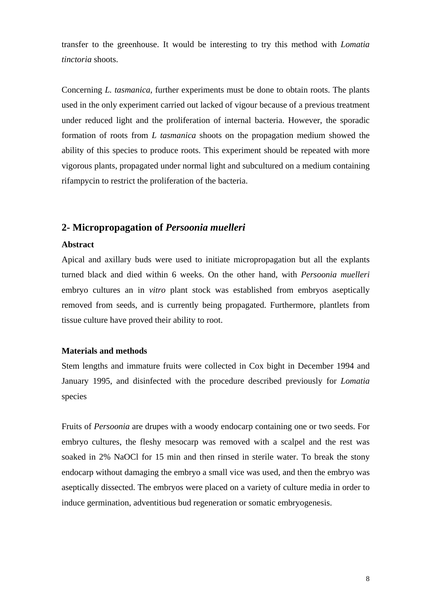transfer to the greenhouse. It would be interesting to try this method with *Lomatia tinctoria* shoots.

Concerning *L. tasmanica*, further experiments must be done to obtain roots. The plants used in the only experiment carried out lacked of vigour because of a previous treatment under reduced light and the proliferation of internal bacteria. However, the sporadic formation of roots from *L tasmanica* shoots on the propagation medium showed the ability of this species to produce roots. This experiment should be repeated with more vigorous plants, propagated under normal light and subcultured on a medium containing rifampycin to restrict the proliferation of the bacteria.

# **2- Micropropagation of** *Persoonia muelleri*

#### **Abstract**

Apical and axillary buds were used to initiate micropropagation but all the explants turned black and died within 6 weeks. On the other hand, with *Persoonia muelleri*  embryo cultures an in *vitro* plant stock was established from embryos aseptically removed from seeds, and is currently being propagated. Furthermore, plantlets from tissue culture have proved their ability to root.

### **Materials and methods**

Stem lengths and immature fruits were collected in Cox bight in December 1994 and January 1995, and disinfected with the procedure described previously for *Lomatia* species

Fruits of *Persoonia* are drupes with a woody endocarp containing one or two seeds. For embryo cultures, the fleshy mesocarp was removed with a scalpel and the rest was soaked in 2% NaOCl for 15 min and then rinsed in sterile water. To break the stony endocarp without damaging the embryo a small vice was used, and then the embryo was aseptically dissected. The embryos were placed on a variety of culture media in order to induce germination, adventitious bud regeneration or somatic embryogenesis.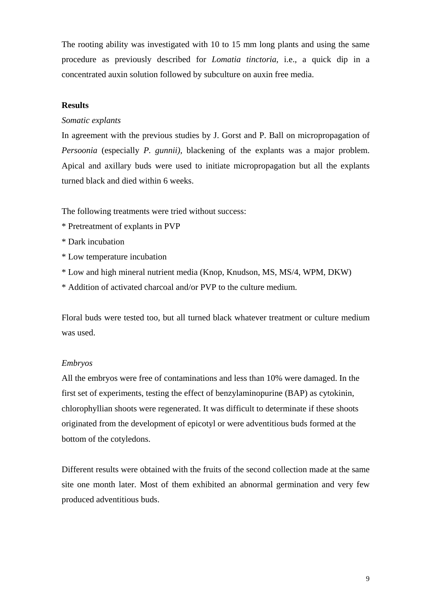The rooting ability was investigated with 10 to 15 mm long plants and using the same procedure as previously described for *Lomatia tinctoria*, i.e., a quick dip in a concentrated auxin solution followed by subculture on auxin free media.

# **Results**

# *Somatic explants*

In agreement with the previous studies by J. Gorst and P. Ball on micropropagation of *Persoonia* (especially *P. gunnii),* blackening of the explants was a major problem. Apical and axillary buds were used to initiate micropropagation but all the explants turned black and died within 6 weeks.

The following treatments were tried without success:

- \* Pretreatment of explants in PVP
- \* Dark incubation
- \* Low temperature incubation
- \* Low and high mineral nutrient media (Knop, Knudson, MS, MS/4, WPM, DKW)
- \* Addition of activated charcoal and/or PVP to the culture medium.

Floral buds were tested too, but all turned black whatever treatment or culture medium was used.

## *Embryos*

All the embryos were free of contaminations and less than 10% were damaged. In the first set of experiments, testing the effect of benzylaminopurine (BAP) as cytokinin, chlorophyllian shoots were regenerated. It was difficult to determinate if these shoots originated from the development of epicotyl or were adventitious buds formed at the bottom of the cotyledons.

Different results were obtained with the fruits of the second collection made at the same site one month later. Most of them exhibited an abnormal germination and very few produced adventitious buds.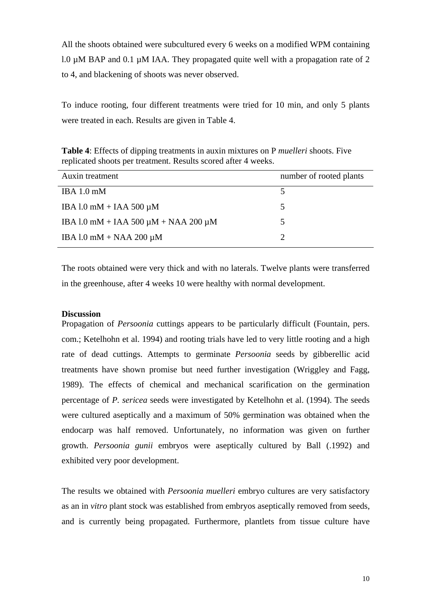All the shoots obtained were subcultured every 6 weeks on a modified WPM containing l.0  $\mu$ M BAP and 0.1  $\mu$ M IAA. They propagated quite well with a propagation rate of 2 to 4, and blackening of shoots was never observed.

To induce rooting, four different treatments were tried for 10 min, and only 5 plants were treated in each. Results are given in Table 4.

| <b>Table 4:</b> Effects of dipping treatments in auxin mixtures on P <i>muelleri</i> shoots. Five |  |
|---------------------------------------------------------------------------------------------------|--|
| replicated shoots per treatment. Results scored after 4 weeks.                                    |  |

| Auxin treatment                                | number of rooted plants |
|------------------------------------------------|-------------------------|
| IBA $1.0 \text{ mM}$                           |                         |
| IBA $1.0$ mM + IAA 500 $\mu$ M                 | 5                       |
| IBA 1.0 mM + IAA 500 $\mu$ M + NAA 200 $\mu$ M | 5                       |
| IBA 1.0 mM + NAA 200 $\mu$ M                   |                         |

The roots obtained were very thick and with no laterals. Twelve plants were transferred in the greenhouse, after 4 weeks 10 were healthy with normal development.

### **Discussion**

Propagation of *Persoonia* cuttings appears to be particularly difficult (Fountain, pers. com.; Ketelhohn et al. 1994) and rooting trials have led to very little rooting and a high rate of dead cuttings. Attempts to germinate *Persoonia* seeds by gibberellic acid treatments have shown promise but need further investigation (Wriggley and Fagg, 1989). The effects of chemical and mechanical scarification on the germination percentage of *P. sericea* seeds were investigated by Ketelhohn et al. (1994). The seeds were cultured aseptically and a maximum of 50% germination was obtained when the endocarp was half removed. Unfortunately, no information was given on further growth. *Persoonia gunii* embryos were aseptically cultured by Ball (.1992) and exhibited very poor development.

The results we obtained with *Persoonia muelleri* embryo cultures are very satisfactory as an in *vitro* plant stock was established from embryos aseptically removed from seeds, and is currently being propagated. Furthermore, plantlets from tissue culture have